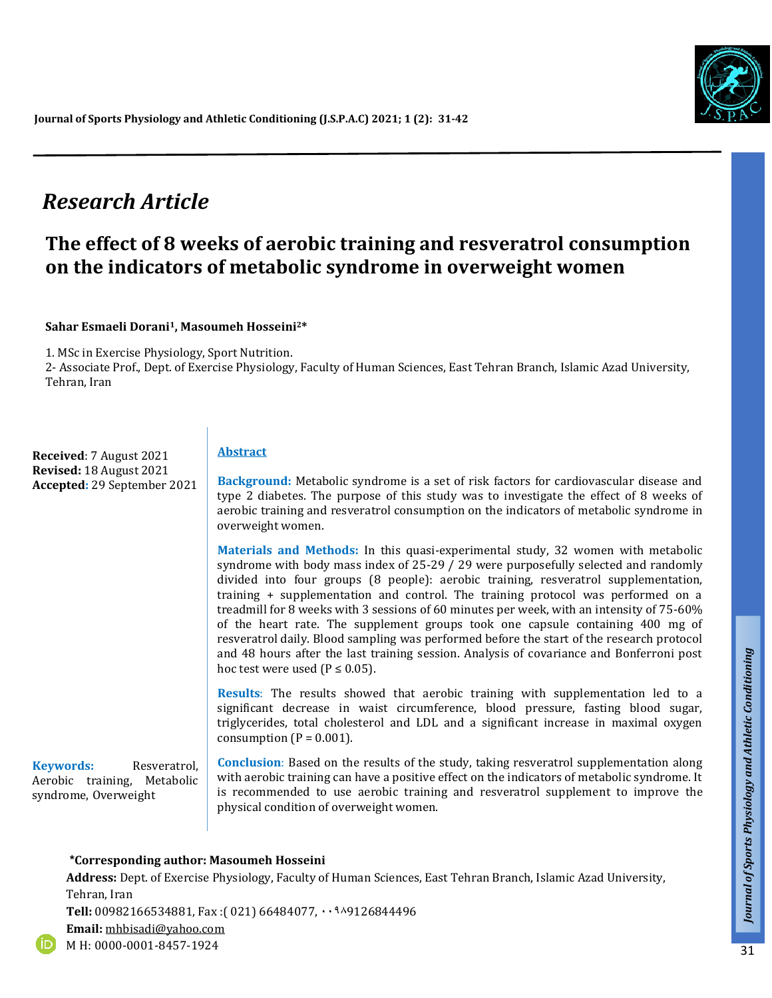

# *Research Article*

## **The effect of 8 weeks of aerobic training and resveratrol consumption on the indicators of metabolic syndrome in overweight women**

#### **Sahar Esmaeli Dorani1, Masoumeh Hosseini2\***

1. MSc in Exercise Physiology, Sport Nutrition.

2- Associate Prof., Dept. of Exercise Physiology, Faculty of Human Sciences, East Tehran Branch, Islamic Azad University, Tehran, Iran

**Received**: 7 August 2021 **Revised:** 18 August 2021 **Accepted:** 29 September 2021

#### **Abstract**

**Background:** Metabolic syndrome is a set of risk factors for cardiovascular disease and type 2 diabetes. The purpose of this study was to investigate the effect of 8 weeks of aerobic training and resveratrol consumption on the indicators of metabolic syndrome in overweight women.

**Materials and Methods:** In this quasi-experimental study, 32 women with metabolic syndrome with body mass index of 25-29 / 29 were purposefully selected and randomly divided into four groups (8 people): aerobic training, resveratrol supplementation, training + supplementation and control. The training protocol was performed on a treadmill for 8 weeks with 3 sessions of 60 minutes per week, with an intensity of 75-60% of the heart rate. The supplement groups took one capsule containing 400 mg of resveratrol daily. Blood sampling was performed before the start of the research protocol and 48 hours after the last training session. Analysis of covariance and Bonferroni post hoc test were used ( $P \le 0.05$ ).

**Results**: The results showed that aerobic training with supplementation led to a significant decrease in waist circumference, blood pressure, fasting blood sugar, triglycerides, total cholesterol and LDL and a significant increase in maximal oxygen consumption ( $P = 0.001$ ).

**Keywords:** Resveratrol, Aerobic training, Metabolic syndrome, Overweight

**Conclusion**: Based on the results of the study, taking resveratrol supplementation along with aerobic training can have a positive effect on the indicators of metabolic syndrome. It is recommended to use aerobic training and resveratrol supplement to improve the physical condition of overweight women.

#### **\*Corresponding author: Masoumeh Hosseini**

**Address:** Dept. of Exercise Physiology, Faculty of Human Sciences, East Tehran Branch, Islamic Azad University, Tehran, Iran Tell: 00982166534881, Fax: (021) 66484077, 009126844496

*Talk*

**Email:** [mhbisadi@yahoo.com](mailto:mhbisadi@yahoo.com)  M H: 0000-0001-8457-1924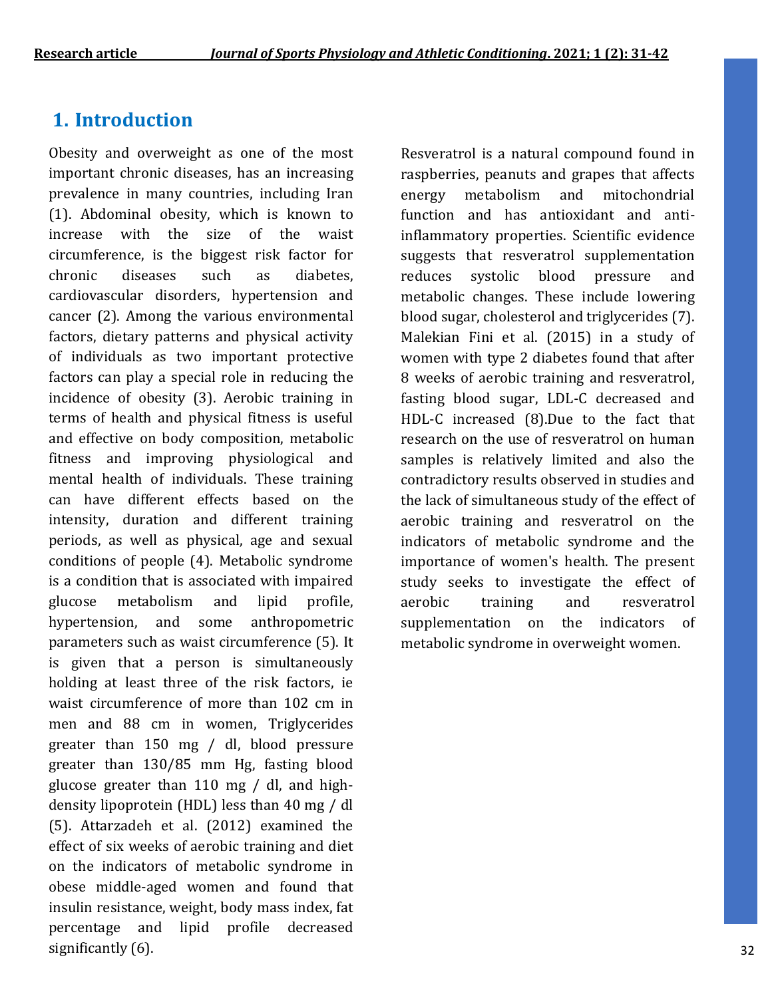## **1. Introduction**

Obesity and overweight as one of the most important chronic diseases, has an increasing prevalence in many countries, including Iran (1). Abdominal obesity, which is known to increase with the size of the waist circumference, is the biggest risk factor for chronic diseases such as diabetes, cardiovascular disorders, hypertension and cancer (2). Among the various environmental factors, dietary patterns and physical activity of individuals as two important protective factors can play a special role in reducing the incidence of obesity (3). Aerobic training in terms of health and physical fitness is useful and effective on body composition, metabolic fitness and improving physiological and mental health of individuals. These training can have different effects based on the intensity, duration and different training periods, as well as physical, age and sexual conditions of people (4). Metabolic syndrome is a condition that is associated with impaired glucose metabolism and lipid profile, hypertension, and some anthropometric parameters such as waist circumference (5). It is given that a person is simultaneously holding at least three of the risk factors, ie waist circumference of more than 102 cm in men and 88 cm in women, Triglycerides greater than 150 mg / dl, blood pressure greater than 130/85 mm Hg, fasting blood glucose greater than 110 mg / dl, and highdensity lipoprotein (HDL) less than 40 mg / dl (5). Attarzadeh et al. (2012) examined the effect of six weeks of aerobic training and diet on the indicators of metabolic syndrome in obese middle-aged women and found that insulin resistance, weight, body mass index, fat percentage and lipid profile decreased significantly (6).

Resveratrol is a natural compound found in raspberries, peanuts and grapes that affects energy metabolism and mitochondrial function and has antioxidant and antiinflammatory properties. Scientific evidence suggests that resveratrol supplementation reduces systolic blood pressure and metabolic changes. These include lowering blood sugar, cholesterol and triglycerides (7). Malekian Fini et al. (2015) in a study of women with type 2 diabetes found that after 8 weeks of aerobic training and resveratrol, fasting blood sugar, LDL-C decreased and HDL-C increased (8).Due to the fact that research on the use of resveratrol on human samples is relatively limited and also the contradictory results observed in studies and the lack of simultaneous study of the effect of aerobic training and resveratrol on the indicators of metabolic syndrome and the importance of women's health. The present study seeks to investigate the effect of aerobic training and resveratrol supplementation on the indicators of metabolic syndrome in overweight women.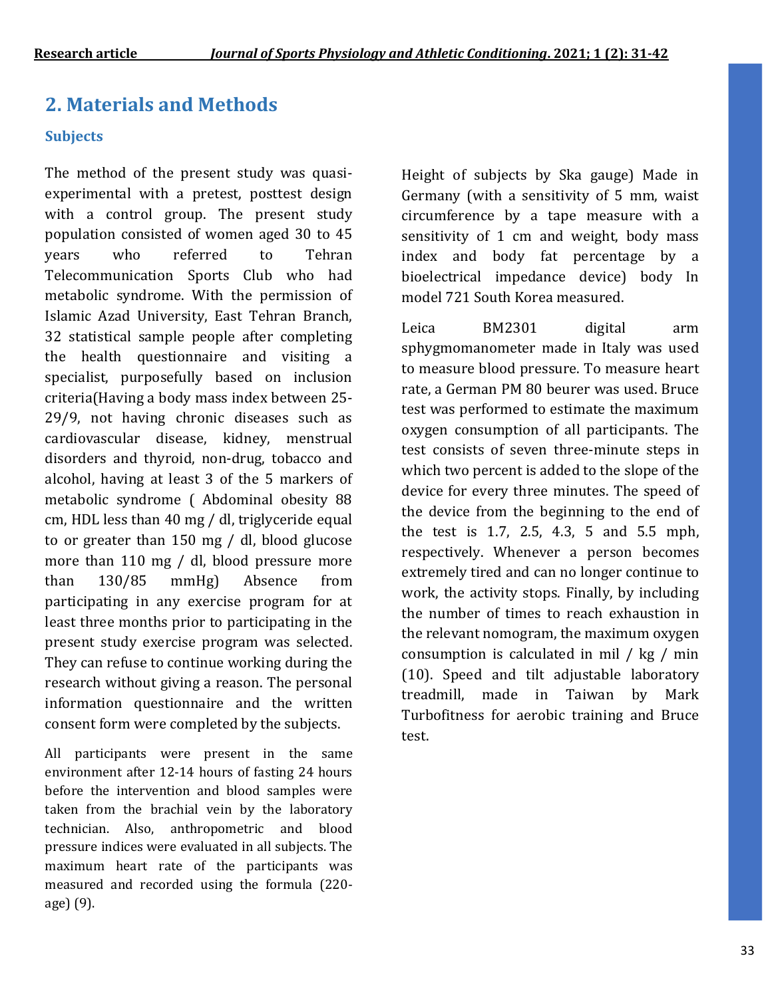# **2. Materials and Methods**

### **Subjects**

The method of the present study was quasiexperimental with a pretest, posttest design with a control group. The present study population consisted of women aged 30 to 45 years who referred to Tehran Telecommunication Sports Club who had metabolic syndrome. With the permission of Islamic Azad University, East Tehran Branch, 32 statistical sample people after completing the health questionnaire and visiting a specialist, purposefully based on inclusion criteria(Having a body mass index between 25- 29/9, not having chronic diseases such as cardiovascular disease, kidney, menstrual disorders and thyroid, non-drug, tobacco and alcohol, having at least 3 of the 5 markers of metabolic syndrome ( Abdominal obesity 88 cm, HDL less than 40 mg / dl, triglyceride equal to or greater than 150 mg / dl, blood glucose more than 110 mg / dl, blood pressure more than 130/85 mmHg) Absence from participating in any exercise program for at least three months prior to participating in the present study exercise program was selected. They can refuse to continue working during the research without giving a reason. The personal information questionnaire and the written consent form were completed by the subjects.

All participants were present in the same environment after 12-14 hours of fasting 24 hours before the intervention and blood samples were taken from the brachial vein by the laboratory technician. Also, anthropometric and blood pressure indices were evaluated in all subjects. The maximum heart rate of the participants was measured and recorded using the formula (220 age) (9).

Height of subjects by Ska gauge) Made in Germany (with a sensitivity of 5 mm, waist circumference by a tape measure with a sensitivity of 1 cm and weight, body mass index and body fat percentage by a bioelectrical impedance device) body In model 721 South Korea measured.

Leica BM2301 digital arm sphygmomanometer made in Italy was used to measure blood pressure. To measure heart rate, a German PM 80 beurer was used. Bruce test was performed to estimate the maximum oxygen consumption of all participants. The test consists of seven three-minute steps in which two percent is added to the slope of the device for every three minutes. The speed of the device from the beginning to the end of the test is 1.7, 2.5, 4.3, 5 and 5.5 mph, respectively. Whenever a person becomes extremely tired and can no longer continue to work, the activity stops. Finally, by including the number of times to reach exhaustion in the relevant nomogram, the maximum oxygen consumption is calculated in mil / kg / min (10). Speed and tilt adjustable laboratory treadmill, made in Taiwan by Mark Turbofitness for aerobic training and Bruce test.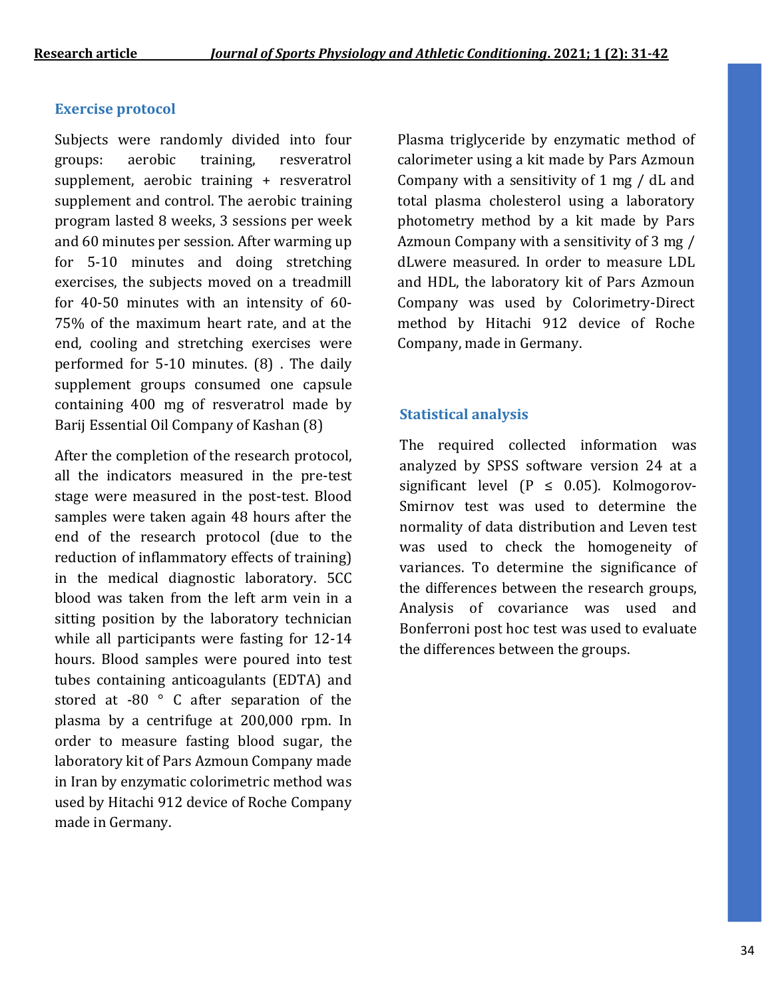#### **Exercise protocol**

Subjects were randomly divided into four groups: aerobic training, resveratrol supplement, aerobic training + resveratrol supplement and control. The aerobic training program lasted 8 weeks, 3 sessions per week and 60 minutes per session. After warming up for 5-10 minutes and doing stretching exercises, the subjects moved on a treadmill for 40-50 minutes with an intensity of 60- 75% of the maximum heart rate, and at the end, cooling and stretching exercises were performed for 5-10 minutes. (8) . The daily supplement groups consumed one capsule containing 400 mg of resveratrol made by Barij Essential Oil Company of Kashan (8)

After the completion of the research protocol, all the indicators measured in the pre-test stage were measured in the post-test. Blood samples were taken again 48 hours after the end of the research protocol (due to the reduction of inflammatory effects of training) in the medical diagnostic laboratory. 5CC blood was taken from the left arm vein in a sitting position by the laboratory technician while all participants were fasting for 12-14 hours. Blood samples were poured into test tubes containing anticoagulants (EDTA) and stored at -80 ° C after separation of the plasma by a centrifuge at 200,000 rpm. In order to measure fasting blood sugar, the laboratory kit of Pars Azmoun Company made in Iran by enzymatic colorimetric method was used by Hitachi 912 device of Roche Company made in Germany.

Plasma triglyceride by enzymatic method of calorimeter using a kit made by Pars Azmoun Company with a sensitivity of 1 mg / dL and total plasma cholesterol using a laboratory photometry method by a kit made by Pars Azmoun Company with a sensitivity of 3 mg / dLwere measured. In order to measure LDL and HDL, the laboratory kit of Pars Azmoun Company was used by Colorimetry-Direct method by Hitachi 912 device of Roche Company, made in Germany.

#### **Statistical analysis**

The required collected information was analyzed by SPSS software version 24 at a significant level  $(P \le 0.05)$ . Kolmogorov-Smirnov test was used to determine the normality of data distribution and Leven test was used to check the homogeneity of variances. To determine the significance of the differences between the research groups, Analysis of covariance was used and Bonferroni post hoc test was used to evaluate the differences between the groups.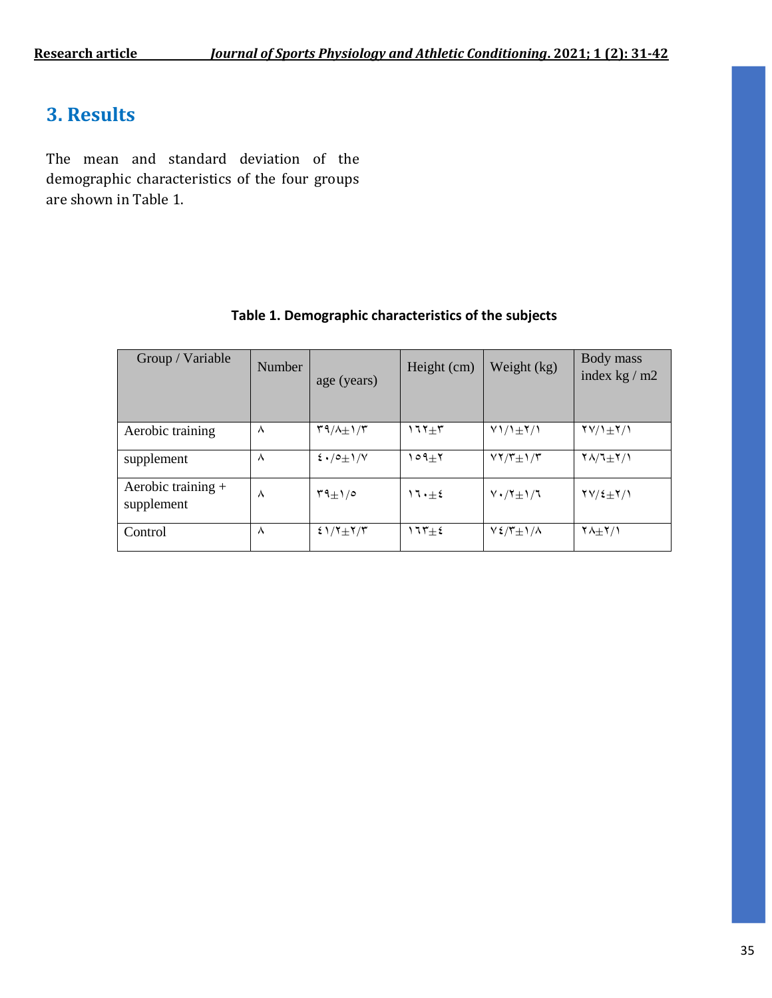## **3. Results**

The mean and standard deviation of the demographic characteristics of the four groups are shown in Table 1.

| Group / Variable                   | <b>Number</b> | age (years)                    | Height (cm)   | Weight (kg)                               | Body mass<br>index $kg/m2$            |
|------------------------------------|---------------|--------------------------------|---------------|-------------------------------------------|---------------------------------------|
| Aerobic training                   | Λ             | $\mathcal{M}(n+1)/\mathcal{M}$ | $177 + 5$     | $V1/\frac{1}{2}Y/1$                       | $\frac{1}{2} \frac{1}{2} \frac{1}{2}$ |
| supplement                         | ٨             | $2 \cdot 10 + 1/N$             | $\circ$ 9+۲   | $VY/T_{\pm}$ ) / $T$                      | $Y\Lambda/T_{\pm}Y/\Lambda$           |
| Aerobic training $+$<br>supplement | ٨             | $T9+1/0$                       | $11 \cdot +5$ | $V \cdot / Y \pm 1 / 7$                   | $\frac{Y}{2\pm1}$                     |
| Control                            | Λ             | $21/7+7/7$                     | $175 \pm 2$   | $V \frac{2}{\pi} \frac{1}{\pi} 1/\lambda$ | $Y\Lambda + Y/1$                      |

### **Table 1. Demographic characteristics of the subjects**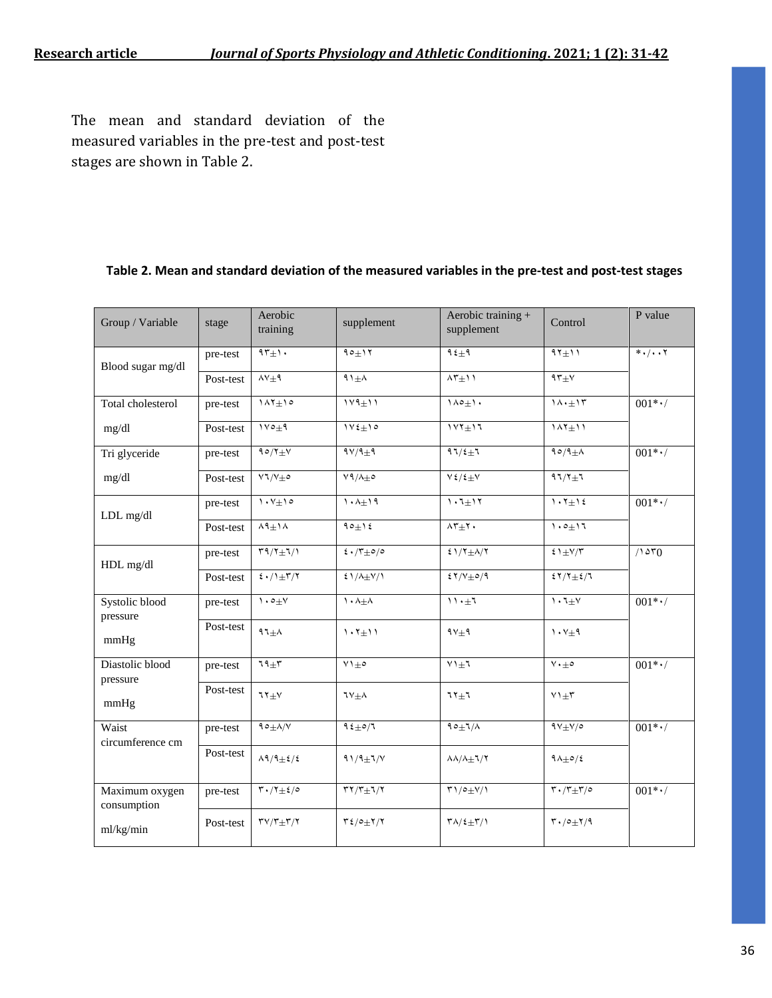The mean and standard deviation of the measured variables in the pre-test and post-test stages are shown in Table 2.

#### **Table 2. Mean and standard deviation of the measured variables in the pre-test and post-test stages**

| Group / Variable              | stage     | Aerobic<br>training                                                | supplement                                                                  | Aerobic training +<br>supplement                | Control                                                                                                                                                                                                                                                                                                             | P value           |
|-------------------------------|-----------|--------------------------------------------------------------------|-----------------------------------------------------------------------------|-------------------------------------------------|---------------------------------------------------------------------------------------------------------------------------------------------------------------------------------------------------------------------------------------------------------------------------------------------------------------------|-------------------|
| Blood sugar mg/dl             | pre-test  | $15 + 1.$                                                          | $90+17$                                                                     | ۹٤ $\pm$ ۹                                      | $91 \pm 11$                                                                                                                                                                                                                                                                                                         | $*$ ./7           |
|                               | Post-test | $\wedge \vee \pm \Upsilon$                                         | $91 \pm A$                                                                  | $\lambda \tau_{\pm}$                            | $95 + V$                                                                                                                                                                                                                                                                                                            |                   |
| Total cholesterol             | pre-test  | $147 \pm 10$                                                       | $114 \pm 11$                                                                | $1\wedge \circ \pm 1$ .                         | $1\Lambda\cdot \pm 1\Upsilon$                                                                                                                                                                                                                                                                                       | $001*·/$          |
| mg/dl                         | Post-test | $1 \vee \circ \pm 9$                                               | $1 \vee \xi \pm 1$                                                          | $\overline{111}$                                | 14111                                                                                                                                                                                                                                                                                                               |                   |
| Tri glyceride                 | pre-test  | $\sqrt{1-\gamma}$                                                  | $9 \vee 9 \pm 9$                                                            | $97/\xi \pm 7$                                  | $90/9\pm$                                                                                                                                                                                                                                                                                                           | $001$ * $\cdot$ / |
| mg/dl                         | Post-test | $V1/V\pm$                                                          | $V \cdot \Lambda_{\pm}$                                                     | $V\ell/\ell + V$                                | $97/7+7$                                                                                                                                                                                                                                                                                                            |                   |
| LDL mg/dl                     | pre-test  | $\langle \cdot, \vee_{\pm} \rangle$                                | $\lambda \cdot \lambda + \lambda \cdot \eta$                                | $1.7 + 17$                                      | $1.7 \pm 1.2$                                                                                                                                                                                                                                                                                                       | $001$ * $\cdot/$  |
|                               | Post-test | $\wedge$ 9 $\pm$ 1 $\wedge$                                        | $90 \pm 12$                                                                 | $\Lambda \Upsilon \pm \Upsilon$                 | $1.0 + 17$                                                                                                                                                                                                                                                                                                          |                   |
| HDL mg/dl                     | pre-test  | $\Upsilon \Uparrow / \Uparrow \pm \Uparrow / \Uparrow$             | $2 \cdot \sqrt{r} + o / o$                                                  | $\sqrt{2}$ 1/7 $\pm$ A/7                        | $\xi$ ) $\pm$ V/T                                                                                                                                                                                                                                                                                                   | /100              |
|                               | Post-test | $\frac{2}{3}$ ./1 $\pm$ ۳/۲                                        | $51/\lambda \pm 1/\lambda$                                                  | $27/V + 0/9$                                    | $\frac{1}{2}$ $\frac{1}{2}$ $\frac{1}{2}$ $\frac{1}{2}$ $\frac{1}{2}$ $\frac{1}{2}$ $\frac{1}{2}$ $\frac{1}{2}$ $\frac{1}{2}$ $\frac{1}{2}$ $\frac{1}{2}$ $\frac{1}{2}$ $\frac{1}{2}$ $\frac{1}{2}$ $\frac{1}{2}$ $\frac{1}{2}$ $\frac{1}{2}$ $\frac{1}{2}$ $\frac{1}{2}$ $\frac{1}{2}$ $\frac{1}{2}$ $\frac{1}{2}$ |                   |
| Systolic blood                | pre-test  | $\mathcal{N}$ + $\circ$                                            | $\lambda \cdot \lambda + \lambda$                                           | $11 \cdot \pm 7$                                | $\mathcal{N} \cdot \mathcal{N}$                                                                                                                                                                                                                                                                                     | $001$ * $\cdot$ / |
| pressure<br>mmHg              | Post-test | $97 + \lambda$                                                     | $1.7 + 11$                                                                  | $9V_{\pm}9$                                     | $\mathcal{N} \cdot \mathcal{N} \pm \mathcal{N}$                                                                                                                                                                                                                                                                     |                   |
| Diastolic blood               | pre-test  | $79 + 7$                                                           | $Y1 \pm 0$                                                                  | $Y \uparrow \pm 1$                              | $\vee\cdot\pm\circ$                                                                                                                                                                                                                                                                                                 | $001$ * $\cdot$ / |
| pressure<br>mmHg              | Post-test | ע $\tau_{\pm}$                                                     | $7Y_{\pm}$                                                                  | $71+7$                                          | $Y1 \pm 7$                                                                                                                                                                                                                                                                                                          |                   |
| Waist<br>circumference cm     | pre-test  | $90 \pm \Delta/V$                                                  | $9.5 \pm 0.7$                                                               | $90 \pm 7/\Lambda$                              | $9V \pm V/\circ$                                                                                                                                                                                                                                                                                                    | $001$ * $\cdot$ / |
|                               | Post-test | $\lambda$ 9/9 $\pm$ ٤/٤                                            | $91/9 \pm 1/\gamma$                                                         | $\lambda\lambda/\lambda_{\pm}$ ٦/٢              | $9\lambda \pm o/2$                                                                                                                                                                                                                                                                                                  |                   |
| Maximum oxygen<br>consumption | pre-test  | $\mathbf{r} \cdot \mathbf{r} + \mathbf{r} \cdot \mathbf{r}$        | $\overline{\mathsf{r} \mathsf{r}} / \mathsf{r} \pm \mathsf{r} / \mathsf{r}$ | $\Upsilon\cup\sigma\pm\Upsilon/\Upsilon$        | $\mathbf{r} \cdot \mathbf{r} + \mathbf{r}/\mathbf{r}$                                                                                                                                                                                                                                                               | $001$ * $\cdot$ / |
| ml/kg/min                     | Post-test | $\mathsf{r} \mathsf{v} / \mathsf{r}$ $\pm \mathsf{r} / \mathsf{r}$ | $\mathbf{r}$ {/ $\circ$ $\pm$ $\mathbf{r}$ / $\mathbf{r}$                   | $\Gamma \Lambda / \epsilon \pm \Gamma / \Gamma$ | $\mathbf{r} \cdot \mathbf{0} + \mathbf{r} \cdot \mathbf{0}$                                                                                                                                                                                                                                                         |                   |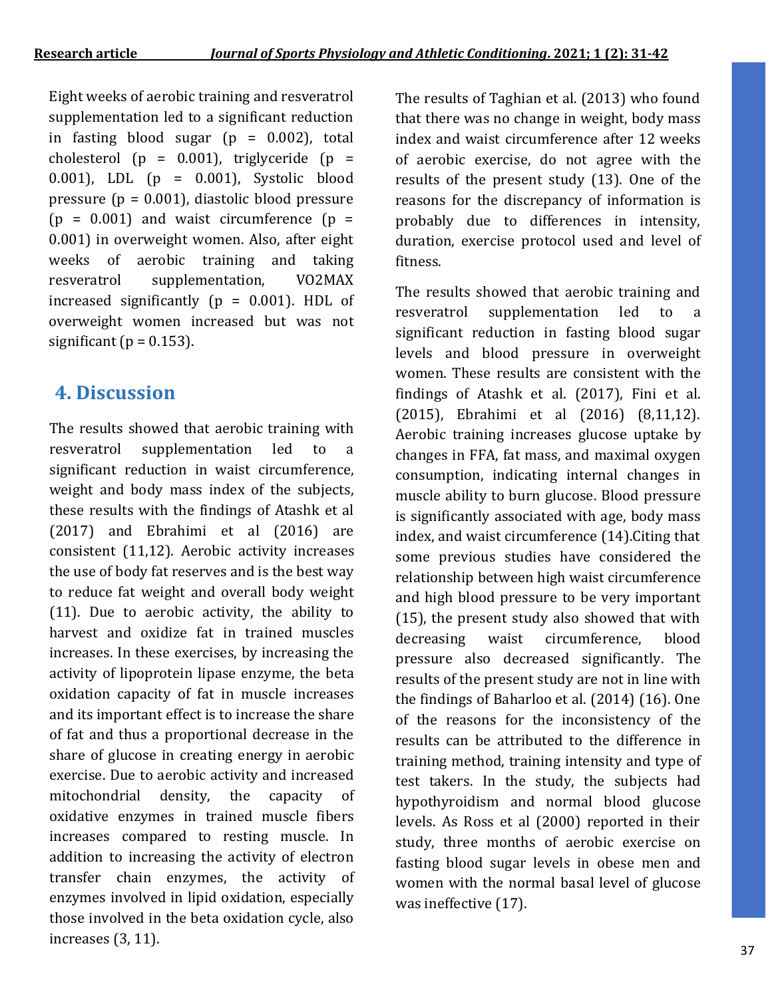Eight weeks of aerobic training and resveratrol supplementation led to a significant reduction in fasting blood sugar  $(p = 0.002)$ , total cholesterol ( $p = 0.001$ ), triglyceride ( $p =$ 0.001), LDL (p = 0.001), Systolic blood pressure ( $p = 0.001$ ), diastolic blood pressure  $(p = 0.001)$  and waist circumference  $(p =$ 0.001) in overweight women. Also, after eight weeks of aerobic training and taking resveratrol supplementation, VO2MAX increased significantly ( $p = 0.001$ ). HDL of overweight women increased but was not significant ( $p = 0.153$ ).

# **4. Discussion**

The results showed that aerobic training with resveratrol supplementation led to a significant reduction in waist circumference, weight and body mass index of the subjects, these results with the findings of Atashk et al (2017) and Ebrahimi et al (2016) are consistent (11,12). Aerobic activity increases the use of body fat reserves and is the best way to reduce fat weight and overall body weight (11). Due to aerobic activity, the ability to harvest and oxidize fat in trained muscles increases. In these exercises, by increasing the activity of lipoprotein lipase enzyme, the beta oxidation capacity of fat in muscle increases and its important effect is to increase the share of fat and thus a proportional decrease in the share of glucose in creating energy in aerobic exercise. Due to aerobic activity and increased mitochondrial density, the capacity of oxidative enzymes in trained muscle fibers increases compared to resting muscle. In addition to increasing the activity of electron transfer chain enzymes, the activity of enzymes involved in lipid oxidation, especially those involved in the beta oxidation cycle, also increases (3, 11).

The results of Taghian et al. (2013) who found that there was no change in weight, body mass index and waist circumference after 12 weeks of aerobic exercise, do not agree with the results of the present study (13). One of the reasons for the discrepancy of information is probably due to differences in intensity, duration, exercise protocol used and level of fitness.

The results showed that aerobic training and resveratrol supplementation led to a significant reduction in fasting blood sugar levels and blood pressure in overweight women. These results are consistent with the findings of Atashk et al. (2017), Fini et al. (2015), Ebrahimi et al (2016) (8,11,12). Aerobic training increases glucose uptake by changes in FFA, fat mass, and maximal oxygen consumption, indicating internal changes in muscle ability to burn glucose. Blood pressure is significantly associated with age, body mass index, and waist circumference (14).Citing that some previous studies have considered the relationship between high waist circumference and high blood pressure to be very important (15), the present study also showed that with decreasing waist circumference, blood pressure also decreased significantly. The results of the present study are not in line with the findings of Baharloo et al. (2014) (16). One of the reasons for the inconsistency of the results can be attributed to the difference in training method, training intensity and type of test takers. In the study, the subjects had hypothyroidism and normal blood glucose levels. As Ross et al (2000) reported in their study, three months of aerobic exercise on fasting blood sugar levels in obese men and women with the normal basal level of glucose was ineffective (17).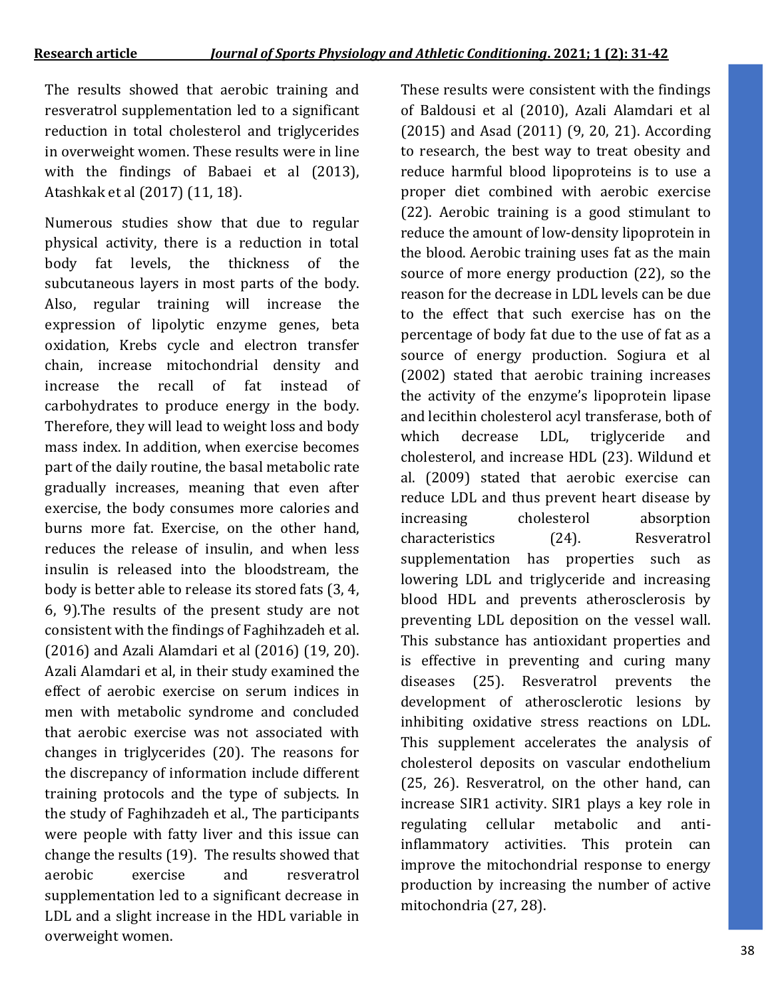The results showed that aerobic training and resveratrol supplementation led to a significant reduction in total cholesterol and triglycerides in overweight women. These results were in line with the findings of Babaei et al (2013), Atashkak et al (2017) (11, 18).

Numerous studies show that due to regular physical activity, there is a reduction in total body fat levels, the thickness of the subcutaneous layers in most parts of the body. Also, regular training will increase the expression of lipolytic enzyme genes, beta oxidation, Krebs cycle and electron transfer chain, increase mitochondrial density and increase the recall of fat instead of carbohydrates to produce energy in the body. Therefore, they will lead to weight loss and body mass index. In addition, when exercise becomes part of the daily routine, the basal metabolic rate gradually increases, meaning that even after exercise, the body consumes more calories and burns more fat. Exercise, on the other hand, reduces the release of insulin, and when less insulin is released into the bloodstream, the body is better able to release its stored fats (3, 4, 6, 9).The results of the present study are not consistent with the findings of Faghihzadeh et al. (2016) and Azali Alamdari et al (2016) (19, 20). Azali Alamdari et al, in their study examined the effect of aerobic exercise on serum indices in men with metabolic syndrome and concluded that aerobic exercise was not associated with changes in triglycerides (20). The reasons for the discrepancy of information include different training protocols and the type of subjects. In the study of Faghihzadeh et al., The participants were people with fatty liver and this issue can change the results (19). The results showed that aerobic exercise and resveratrol supplementation led to a significant decrease in LDL and a slight increase in the HDL variable in overweight women.

These results were consistent with the findings of Baldousi et al (2010), Azali Alamdari et al (2015) and Asad (2011) (9, 20, 21). According to research, the best way to treat obesity and reduce harmful blood lipoproteins is to use a proper diet combined with aerobic exercise (22). Aerobic training is a good stimulant to reduce the amount of low-density lipoprotein in the blood. Aerobic training uses fat as the main source of more energy production (22), so the reason for the decrease in LDL levels can be due to the effect that such exercise has on the percentage of body fat due to the use of fat as a source of energy production. Sogiura et al (2002) stated that aerobic training increases the activity of the enzyme's lipoprotein lipase and lecithin cholesterol acyl transferase, both of which decrease LDL, triglyceride and cholesterol, and increase HDL (23). Wildund et al. (2009) stated that aerobic exercise can reduce LDL and thus prevent heart disease by increasing cholesterol absorption characteristics (24). Resveratrol supplementation has properties such as lowering LDL and triglyceride and increasing blood HDL and prevents atherosclerosis by preventing LDL deposition on the vessel wall. This substance has antioxidant properties and is effective in preventing and curing many diseases (25). Resveratrol prevents the development of atherosclerotic lesions by inhibiting oxidative stress reactions on LDL. This supplement accelerates the analysis of cholesterol deposits on vascular endothelium (25, 26). Resveratrol, on the other hand, can increase SIR1 activity. SIR1 plays a key role in regulating cellular metabolic and antiinflammatory activities. This protein can improve the mitochondrial response to energy production by increasing the number of active mitochondria (27, 28).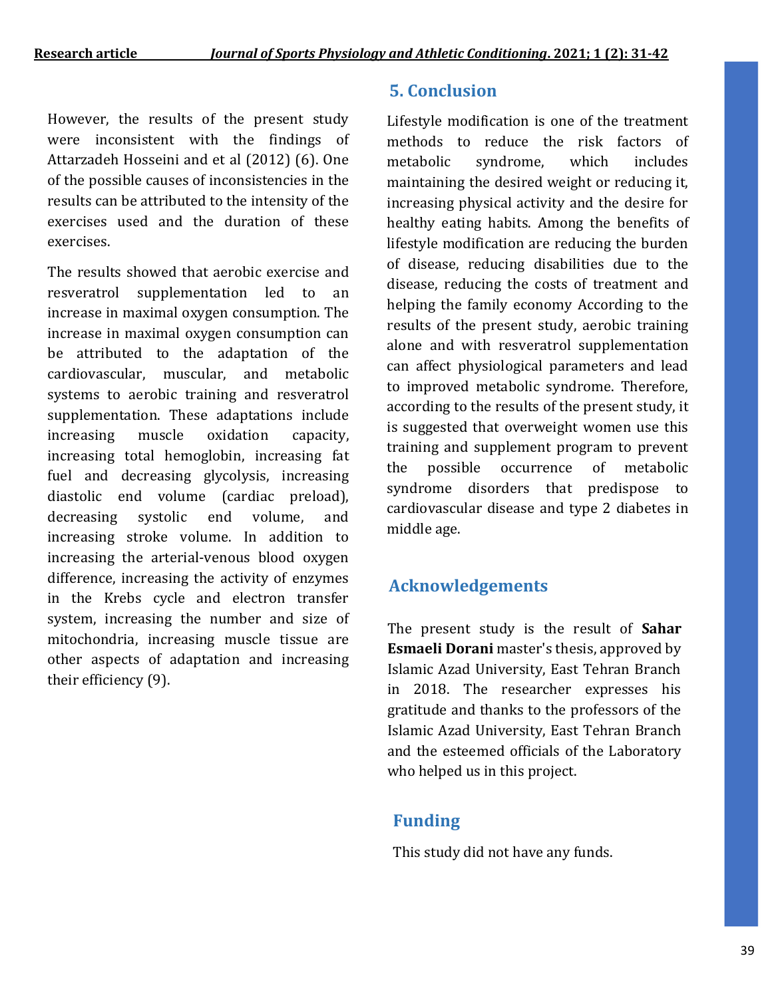However, the results of the present study were inconsistent with the findings of Attarzadeh Hosseini and et al (2012) (6). One of the possible causes of inconsistencies in the results can be attributed to the intensity of the exercises used and the duration of these exercises.

The results showed that aerobic exercise and resveratrol supplementation led to an increase in maximal oxygen consumption. The increase in maximal oxygen consumption can be attributed to the adaptation of the cardiovascular, muscular, and metabolic systems to aerobic training and resveratrol supplementation. These adaptations include increasing muscle oxidation capacity, increasing total hemoglobin, increasing fat fuel and decreasing glycolysis, increasing diastolic end volume (cardiac preload), decreasing systolic end volume, and increasing stroke volume. In addition to increasing the arterial-venous blood oxygen difference, increasing the activity of enzymes in the Krebs cycle and electron transfer system, increasing the number and size of mitochondria, increasing muscle tissue are other aspects of adaptation and increasing their efficiency (9).

### **5. Conclusion**

Lifestyle modification is one of the treatment methods to reduce the risk factors of metabolic syndrome, which includes maintaining the desired weight or reducing it, increasing physical activity and the desire for healthy eating habits. Among the benefits of lifestyle modification are reducing the burden of disease, reducing disabilities due to the disease, reducing the costs of treatment and helping the family economy According to the results of the present study, aerobic training alone and with resveratrol supplementation can affect physiological parameters and lead to improved metabolic syndrome. Therefore, according to the results of the present study, it is suggested that overweight women use this training and supplement program to prevent the possible occurrence of metabolic syndrome disorders that predispose to cardiovascular disease and type 2 diabetes in middle age.

## **Acknowledgements**

The present study is the result of **Sahar Esmaeli Dorani** master's thesis, approved by Islamic Azad University, East Tehran Branch in 2018. The researcher expresses his gratitude and thanks to the professors of the Islamic Azad University, East Tehran Branch and the esteemed officials of the Laboratory who helped us in this project.

## **Funding**

This study did not have any funds.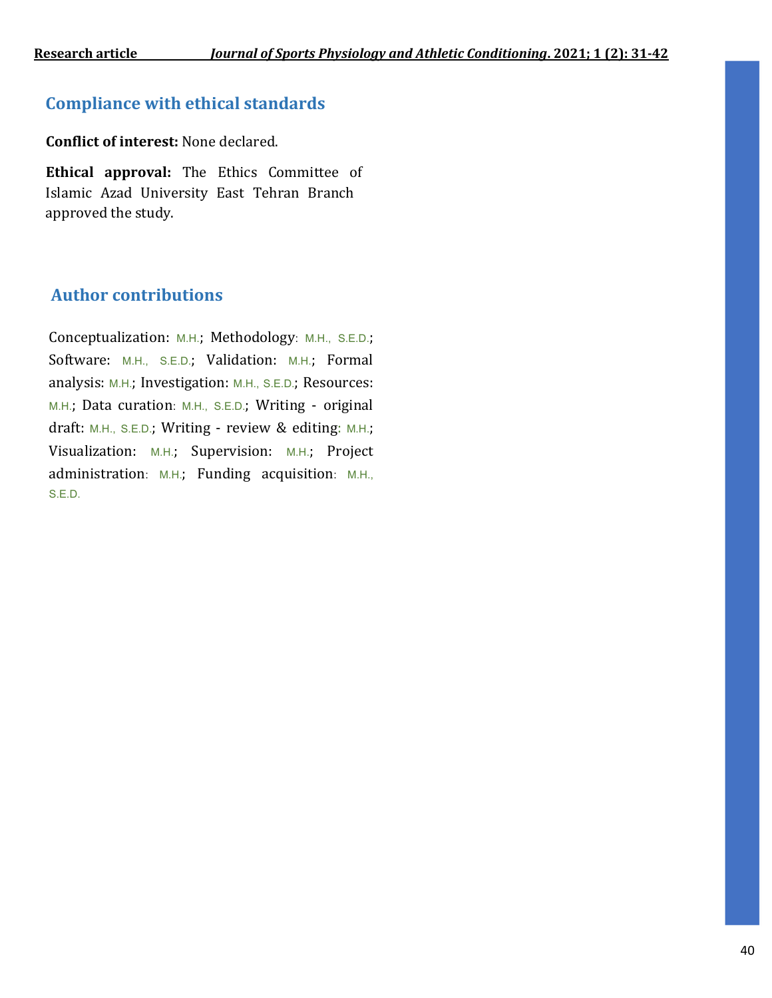## **Compliance with ethical standards**

**Conflict of interest:** None declared.

**Ethical approval:** The Ethics Committee of Islamic Azad University East Tehran Branch approved the study.

### **Author contributions**

Conceptualization: M.H.; Methodology: M.H., S.E.D.; Software: M.H., S.E.D.; Validation: M.H.; Formal analysis: M.H.; Investigation: M.H., S.E.D.; Resources: M.H.; Data curation: M.H., S.E.D.; Writing - original draft: M.H., S.E.D.; Writing - review & editing: M.H.; Visualization: M.H.; Supervision: M.H.; Project administration: M.H.; Funding acquisition: M.H., S.E.D.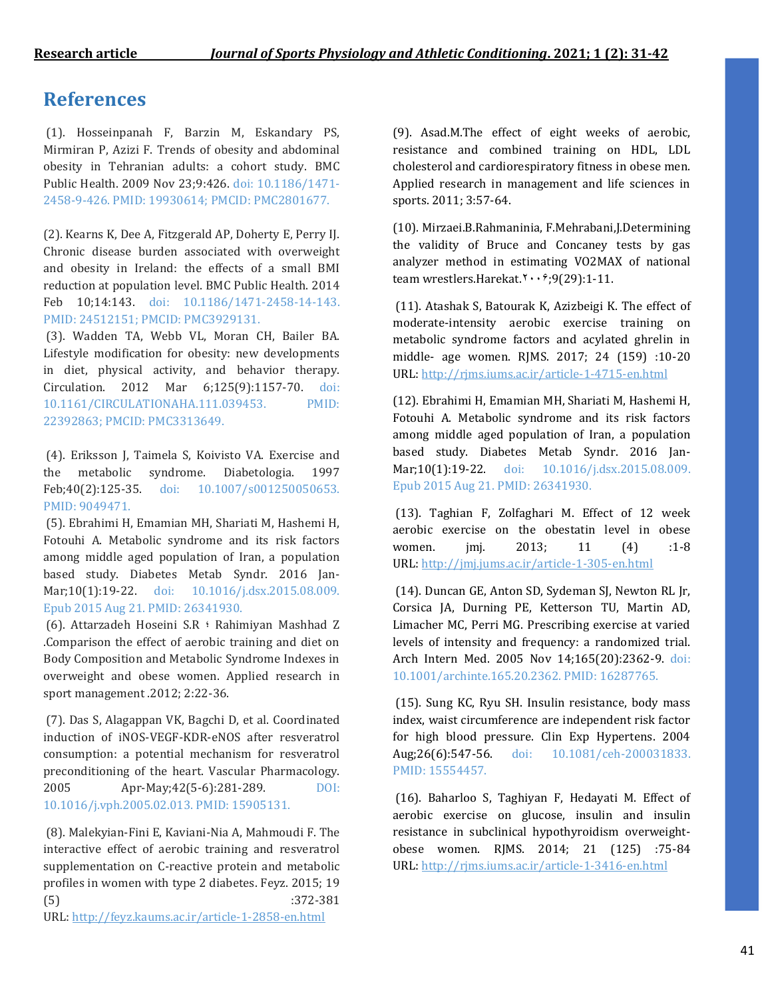## **References**

(1). Hosseinpanah F, Barzin M, Eskandary PS, Mirmiran P, Azizi F. Trends of obesity and abdominal obesity in Tehranian adults: a cohort study. BMC Public Health. 2009 Nov 23;9:426. doi: 10.1186/1471- 2458-9-426. PMID: 19930614; PMCID: PMC2801677.

(2). Kearns K, Dee A, Fitzgerald AP, Doherty E, Perry IJ. Chronic disease burden associated with overweight and obesity in Ireland: the effects of a small BMI reduction at population level. BMC Public Health. 2014 Feb 10;14:143. doi: 10.1186/1471-2458-14-143. PMID: 24512151; PMCID: PMC3929131.

(3). Wadden TA, Webb VL, Moran CH, Bailer BA. Lifestyle modification for obesity: new developments in diet, physical activity, and behavior therapy. Circulation. 2012 Mar 6;125(9):1157-70. doi: 10.1161/CIRCULATIONAHA.111.039453. PMID: 22392863; PMCID: PMC3313649.

(4). Eriksson J, Taimela S, Koivisto VA. Exercise and the metabolic syndrome. Diabetologia. 1997 Feb;40(2):125-35. doi: 10.1007/s001250050653. PMID: 9049471.

(5). Ebrahimi H, Emamian MH, Shariati M, Hashemi H, Fotouhi A. Metabolic syndrome and its risk factors among middle aged population of Iran, a population based study. Diabetes Metab Syndr. 2016 Jan-Mar;10(1):19-22. doi: 10.1016/j.dsx.2015.08.009. Epub 2015 Aug 21. PMID: 26341930.

(6). Attarzadeh Hoseini S.R ؛ Rahimiyan Mashhad Z .Comparison the effect of aerobic training and diet on Body Composition and Metabolic Syndrome Indexes in overweight and obese women. Applied research in sport management .2012; 2:22-36.

(7). Das S, Alagappan VK, Bagchi D, et al. Coordinated induction of iNOS-VEGF-KDR-eNOS after resveratrol consumption: a potential mechanism for resveratrol preconditioning of the heart. Vascular Pharmacology. 2005 Apr-May;42(5-6):281-289. DOI: 10.1016/j.vph.2005.02.013. PMID: 15905131.

(8). Malekyian-Fini E, Kaviani-Nia A, Mahmoudi F. The interactive effect of aerobic training and resveratrol supplementation on C-reactive protein and metabolic profiles in women with type 2 diabetes. Feyz. 2015; 19 (5) :372-381

URL: <http://feyz.kaums.ac.ir/article-1-2858-en.html>

(9). Asad.M.The effect of eight weeks of aerobic, resistance and combined training on HDL, LDL cholesterol and cardiorespiratory fitness in obese men. Applied research in management and life sciences in sports. 2011; 3:57-64.

(10). Mirzaei.B.Rahmaninia, F.Mehrabani,J.Determining the validity of Bruce and Concaney tests by gas analyzer method in estimating VO2MAX of national team wrestlers.Harekat. $x \cdots$ 9(29):1-11.

(11). Atashak S, Batourak K, Azizbeigi K. The effect of moderate-intensity aerobic exercise training on metabolic syndrome factors and acylated ghrelin in middle- age women. RJMS. 2017; 24 (159) :10-20 URL: <http://rjms.iums.ac.ir/article-1-4715-en.html>

(12). Ebrahimi H, Emamian MH, Shariati M, Hashemi H, Fotouhi A. Metabolic syndrome and its risk factors among middle aged population of Iran, a population based study. Diabetes Metab Syndr. 2016 Jan-Mar;10(1):19-22. doi: 10.1016/j.dsx.2015.08.009. Epub 2015 Aug 21. PMID: 26341930.

(13). Taghian F, Zolfaghari M. Effect of 12 week aerobic exercise on the obestatin level in obese women. jmj. 2013; 11 (4) :1-8 URL: <http://jmj.jums.ac.ir/article-1-305-en.html>

(14). Duncan GE, Anton SD, Sydeman SJ, Newton RL Jr, Corsica JA, Durning PE, Ketterson TU, Martin AD, Limacher MC, Perri MG. Prescribing exercise at varied levels of intensity and frequency: a randomized trial. Arch Intern Med. 2005 Nov 14;165(20):2362-9. doi: 10.1001/archinte.165.20.2362. PMID: 16287765.

(15). Sung KC, Ryu SH. Insulin resistance, body mass index, waist circumference are independent risk factor for high blood pressure. Clin Exp Hypertens. 2004 Aug;26(6):547-56. doi: 10.1081/ceh-200031833. PMID: 15554457.

(16). Baharloo S, Taghiyan F, Hedayati M. Effect of aerobic exercise on glucose, insulin and insulin resistance in subclinical hypothyroidism overweightobese women. RJMS. 2014; 21 (125) :75-84 URL: <http://rjms.iums.ac.ir/article-1-3416-en.html>